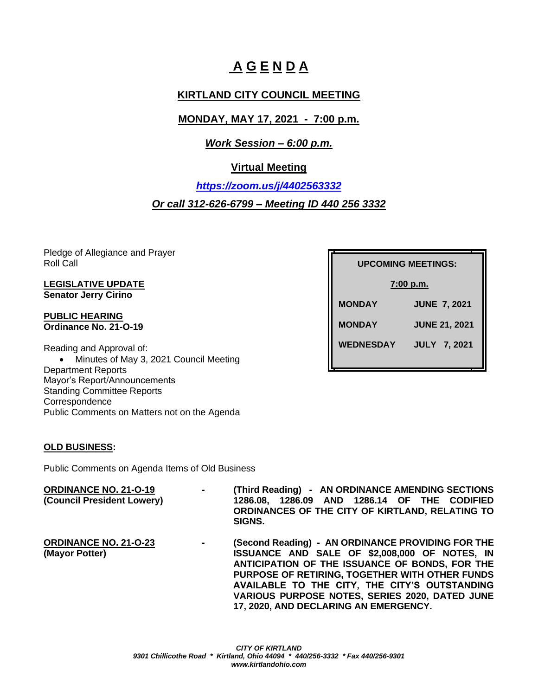# **A G E N D A**

# **KIRTLAND CITY COUNCIL MEETING**

# **MONDAY, MAY 17, 2021 - 7:00 p.m.**

# *Work Session – 6:00 p.m.*

# **Virtual Meeting**

*<https://zoom.us/j/4402563332>*

# *Or call 312-626-6799 – Meeting ID 440 256 3332*

Pledge of Allegiance and Prayer Roll Call

### **LEGISLATIVE UPDATE Senator Jerry Cirino**

#### **PUBLIC HEARING Ordinance No. 21-O-19**

Reading and Approval of: • Minutes of May 3, 2021 Council Meeting Department Reports Mayor's Report/Announcements Standing Committee Reports **Correspondence** Public Comments on Matters not on the Agenda

## **OLD BUSINESS:**

Public Comments on Agenda Items of Old Business

#### **ORDINANCE NO. 21-O-19 - (Third Reading) - AN ORDINANCE AMENDING SECTIONS (Council President Lowery) 1286.08, 1286.09 AND 1286.14 OF THE CODIFIED ORDINANCES OF THE CITY OF KIRTLAND, RELATING TO SIGNS.**

**ORDINANCE NO. 21-O-23 - (Second Reading) - AN ORDINANCE PROVIDING FOR THE (Mayor Potter) ISSUANCE AND SALE OF \$2,008,000 OF NOTES, IN ANTICIPATION OF THE ISSUANCE OF BONDS, FOR THE PURPOSE OF RETIRING, TOGETHER WITH OTHER FUNDS AVAILABLE TO THE CITY, THE CITY'S OUTSTANDING VARIOUS PURPOSE NOTES, SERIES 2020, DATED JUNE 17, 2020, AND DECLARING AN EMERGENCY.**

**UPCOMING MEETINGS: UPCOMING MEETINGS: 7:00 p.m. MONDAY JUNE 7, 2021 MONDAY JUNE 21, 2021 WEDNESDAY JULY 7, 2021**